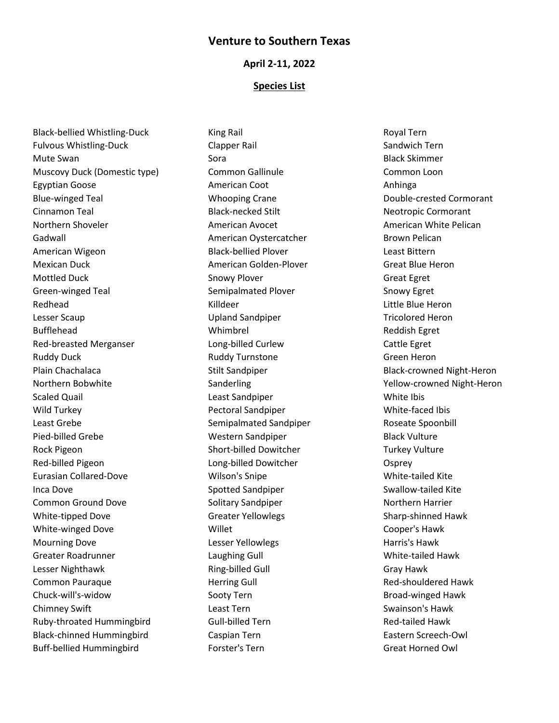# **Venture to Southern Texas**

### **April 2-11, 2022**

### **Species List**

Black-bellied Whistling-Duck Fulvous Whistling-Duck Mute Swan Muscovy Duck (Domestic type) Egyptian Goose Blue-winged Teal Cinnamon Teal Northern Shoveler Gadwall American Wigeon Mexican Duck Mottled Duck Green-winged Teal Redhead Lesser Scaup Bufflehead Red-breasted Merganser Ruddy Duck Plain Chachalaca Northern Bobwhite Scaled Quail Wild Turkey Least Grebe Pied-billed Grebe Rock Pigeon Red-billed Pigeon Eurasian Collared-Dove Inca Dove Common Ground Dove White-tipped Dove White-winged Dove Mourning Dove Greater Roadrunner Lesser Nighthawk Common Pauraque Chuck-will's-widow Chimney Swift Ruby-throated Hummingbird Black-chinned Hummingbird Buff-bellied Hummingbird

King Rail Clapper Rail Sora Common Gallinule American Coot Whooping Crane Black-necked Stilt American Avocet American Oystercatcher Black-bellied Plover American Golden-Plover Snowy Plover Semipalmated Plover Killdeer Upland Sandpiper Whimbrel Long-billed Curlew Ruddy Turnstone Stilt Sandpiper Sanderling Least Sandpiper Pectoral Sandpiper Semipalmated Sandpiper Western Sandpiper Short-billed Dowitcher Long-billed Dowitcher Wilson's Snipe Spotted Sandpiper Solitary Sandpiper Greater Yellowlegs Willet Lesser Yellowlegs Laughing Gull Ring-billed Gull Herring Gull Sooty Tern Least Tern Gull-billed Tern Caspian Tern Forster's Tern

Royal Tern Sandwich Tern Black Skimmer Common Loon Anhinga Double-crested Cormorant Neotropic Cormorant American White Pelican Brown Pelican Least Bittern Great Blue Heron Great Egret Snowy Egret Little Blue Heron Tricolored Heron Reddish Egret Cattle Egret Green Heron Black-crowned Night-Heron Yellow-crowned Night-Heron White Ibis White-faced Ibis Roseate Spoonbill Black Vulture Turkey Vulture **Osprey** White-tailed Kite Swallow-tailed Kite Northern Harrier Sharp-shinned Hawk Cooper's Hawk Harris's Hawk White-tailed Hawk Gray Hawk Red-shouldered Hawk Broad-winged Hawk Swainson's Hawk Red-tailed Hawk Eastern Screech-Owl Great Horned Owl